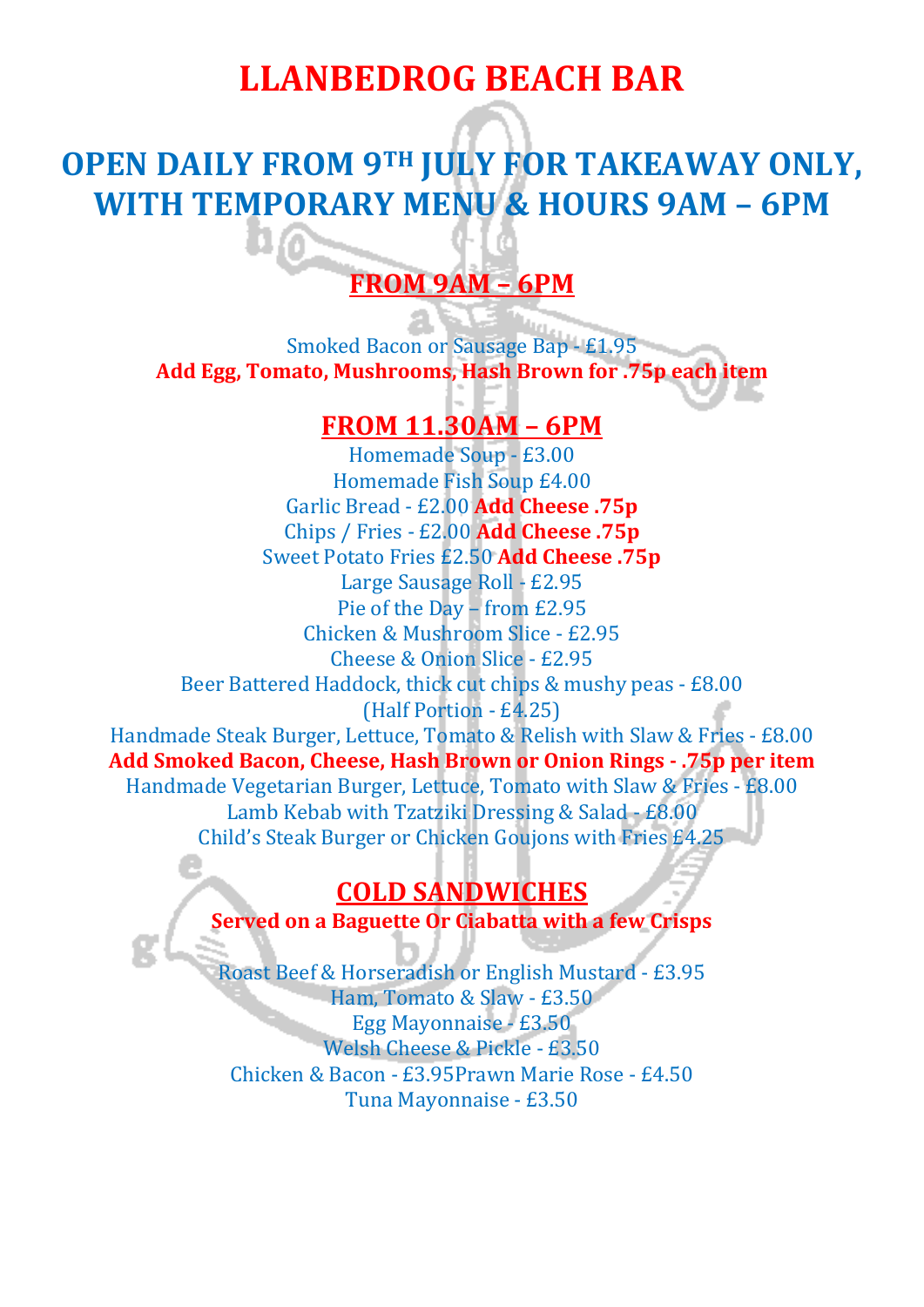## **LLANBEDROG BEACH BAR**

## **OPEN DAILY FROM 9TH JULY FOR TAKEAWAY ONLY, WITH TEMPORARY MENU & HOURS 9AM – 6PM**

### **FROM 9AM – 6PM**

Smoked Bacon or Sausage Bap - £1.95 **Add Egg, Tomato, Mushrooms, Hash Brown for .75p each item**

#### **FROM 11.30AM – 6PM**

Homemade Soup - £3.00 Homemade Fish Soup £4.00 Garlic Bread - £2.00 **Add Cheese .75p** Chips / Fries - £2.00 **Add Cheese .75p** Sweet Potato Fries £2.50 **Add Cheese .75p** Large Sausage Roll - £2.95 Pie of the Day – from £2.95 Chicken & Mushroom Slice - £2.95 Cheese & Onion Slice - £2.95 Beer Battered Haddock, thick cut chips & mushy peas - £8.00 (Half Portion - £4.25) Handmade Steak Burger, Lettuce, Tomato & Relish with Slaw & Fries - £8.00 **Add Smoked Bacon, Cheese, Hash Brown or Onion Rings - .75p per item** Handmade Vegetarian Burger, Lettuce, Tomato with Slaw & Fries - £8.00 Lamb Kebab with Tzatziki Dressing & Salad - £8.00 Child's Steak Burger or Chicken Goujons with Fries £4.25

### **COLD SANDWICHES**

**Served on a Baguette Or Ciabatta with a few Crisps**

Roast Beef & Horseradish or English Mustard - £3.95 Ham, Tomato & Slaw - £3.50 Egg Mayonnaise - £3.50 Welsh Cheese & Pickle - £3.50 Chicken & Bacon - £3.95Prawn Marie Rose - £4.50 Tuna Mayonnaise - £3.50